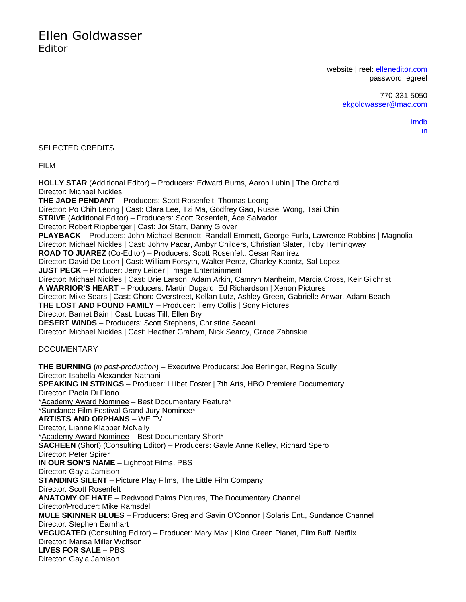website | reel: [elleneditor.com](http://elleneditor.com/) password: egreel

> 770-331-5050 [ekgoldwasser@mac.com](mailto:ekgoldwasser@mac.com)

> > [imdb](http://www.imdb.com/name/nm0326395/?ref_=nv_sr_1) [in](https://www.linkedin.com/in/ellen-goldwasser-5881b7/)

### SELECTED CREDITS

FILM

**HOLLY STAR** (Additional Editor) – Producers: Edward Burns, Aaron Lubin | The Orchard Director: Michael Nickles **THE JADE PENDANT** – Producers: Scott Rosenfelt, Thomas Leong Director: Po Chih Leong | Cast: Clara Lee, Tzi Ma, Godfrey Gao, Russel Wong, Tsai Chin **STRIVE** (Additional Editor) – Producers: Scott Rosenfelt, Ace Salvador Director: Robert Rippberger | Cast: Joi Starr, Danny Glover **PLAYBACK** – Producers: John Michael Bennett, Randall Emmett, George Furla, Lawrence Robbins | Magnolia Director: Michael Nickles | Cast: Johny Pacar, Ambyr Childers, Christian Slater, Toby Hemingway **ROAD TO JUAREZ** (Co-Editor) – Producers: Scott Rosenfelt, Cesar Ramirez Director: David De Leon | Cast: William Forsyth, Walter Perez, Charley Koontz, Sal Lopez **JUST PECK** – Producer: Jerry Leider | Image Entertainment Director: Michael Nickles | Cast: Brie Larson, Adam Arkin, Camryn Manheim, Marcia Cross, Keir Gilchrist **A WARRIOR'S HEART** – Producers: Martin Dugard, Ed Richardson | Xenon Pictures Director: Mike Sears | Cast: Chord Overstreet, Kellan Lutz, Ashley Green, Gabrielle Anwar, Adam Beach **THE LOST AND FOUND FAMILY** – Producer: Terry Collis | Sony Pictures Director: Barnet Bain | Cast: Lucas Till, Ellen Bry **DESERT WINDS** – Producers: Scott Stephens, Christine Sacani Director: Michael Nickles | Cast: Heather Graham, Nick Searcy, Grace Zabriskie DOCUMENTARY **THE BURNING** (*in post-production*) – Executive Producers: Joe Berlinger, Regina Scully Director: Isabella Alexander-Nathani **SPEAKING IN STRINGS** – Producer: Lilibet Foster | 7th Arts, HBO Premiere Documentary Director: Paola Di Florio \*Academy Award Nominee – Best Documentary Feature\* \*Sundance Film Festival Grand Jury Nominee\* **ARTISTS AND ORPHANS** – WE TV Director, Lianne Klapper McNally \*Academy Award Nominee – Best Documentary Short\* **SACHEEN** (Short) (Consulting Editor) – Producers: Gayle Anne Kelley, Richard Spero Director: Peter Spirer **IN OUR SON'S NAME** – Lightfoot Films, PBS Director: Gayla Jamison **STANDING SILENT** – Picture Play Films, The Little Film Company Director: Scott Rosenfelt **ANATOMY OF HATE** – Redwood Palms Pictures, The Documentary Channel Director/Producer: Mike Ramsdell **MULE SKINNER BLUES** – Producers: Greg and Gavin O'Connor | Solaris Ent., Sundance Channel Director: Stephen Earnhart **VEGUCATED** (Consulting Editor) – Producer: Mary Max | Kind Green Planet, Film Buff. Netflix Director: Marisa Miller Wolfson **LIVES FOR SALE** – PBS Director: Gayla Jamison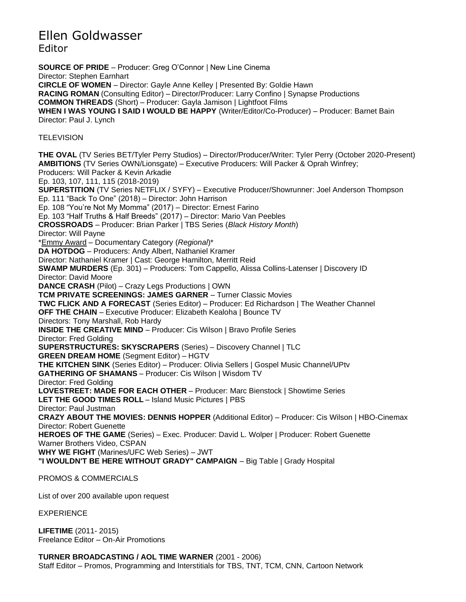**SOURCE OF PRIDE** – Producer: Greg O'Connor | New Line Cinema Director: Stephen Earnhart **CIRCLE OF WOMEN** – Director: Gayle Anne Kelley | Presented By: Goldie Hawn **RACING ROMAN** (Consulting Editor) – Director/Producer: Larry Confino | Synapse Productions **COMMON THREADS** (Short) – Producer: Gayla Jamison | Lightfoot Films **WHEN I WAS YOUNG I SAID I WOULD BE HAPPY** (Writer/Editor/Co-Producer) – Producer: Barnet Bain Director: Paul J. Lynch **TELEVISION THE OVAL** (TV Series BET/Tyler Perry Studios) – Director/Producer/Writer: Tyler Perry (October 2020-Present) **AMBITIONS** (TV Series OWN/Lionsgate) – Executive Producers: Will Packer & Oprah Winfrey; Producers: Will Packer & Kevin Arkadie Ep. 103, 107, 111, 115 (2018-2019) **SUPERSTITION** (TV Series NETFLIX / SYFY) – Executive Producer/Showrunner: Joel Anderson Thompson Ep. 111 "Back To One" (2018) – Director: John Harrison Ep. 108 "You're Not My Momma" (2017) – Director: Ernest Farino Ep. 103 "Half Truths & Half Breeds" (2017) – Director: Mario Van Peebles **CROSSROADS** – Producer: Brian Parker | TBS Series (*Black History Month*) Director: Will Payne \*Emmy Award – Documentary Category (*Regional*)\* **DA HOTDOG** – Producers: Andy Albert, Nathaniel Kramer Director: Nathaniel Kramer | Cast: George Hamilton, Merritt Reid **SWAMP MURDERS** (Ep. 301) – Producers: Tom Cappello, Alissa Collins-Latenser | Discovery ID Director: David Moore **DANCE CRASH** (Pilot) – Crazy Legs Productions | OWN **TCM PRIVATE SCREENINGS: JAMES GARNER** – Turner Classic Movies **TWC FLICK AND A FORECAST** (Series Editor) – Producer: Ed Richardson | The Weather Channel **OFF THE CHAIN** – Executive Producer: Elizabeth Kealoha | Bounce TV Directors: Tony Marshall, Rob Hardy **INSIDE THE CREATIVE MIND** – Producer: Cis Wilson | Bravo Profile Series Director: Fred Golding **SUPERSTRUCTURES: SKYSCRAPERS** (Series) – Discovery Channel | TLC **GREEN DREAM HOME** (Segment Editor) – HGTV **THE KITCHEN SINK** (Series Editor) – Producer: Olivia Sellers | Gospel Music Channel/UPtv **GATHERING OF SHAMANS** – Producer: Cis Wilson | Wisdom TV Director: Fred Golding **LOVESTREET: MADE FOR EACH OTHER** – Producer: Marc Bienstock | Showtime Series **LET THE GOOD TIMES ROLL** – Island Music Pictures | PBS Director: Paul Justman **CRAZY ABOUT THE MOVIES: DENNIS HOPPER** (Additional Editor) – Producer: Cis Wilson | HBO-Cinemax Director: Robert Guenette **HEROES OF THE GAME** (Series) – Exec. Producer: David L. Wolper | Producer: Robert Guenette Warner Brothers Video, CSPAN **WHY WE FIGHT** (Marines/UFC Web Series) – JWT **"I WOULDN'T BE HERE WITHOUT GRADY" CAMPAIGN** – Big Table | Grady Hospital

PROMOS & COMMERCIALS

List of over 200 available upon request

EXPERIENCE

**LIFETIME** (2011- 2015) Freelance Editor – On-Air Promotions

### **TURNER BROADCASTING / AOL TIME WARNER** (2001 - 2006)

Staff Editor – Promos, Programming and Interstitials for TBS, TNT, TCM, CNN, Cartoon Network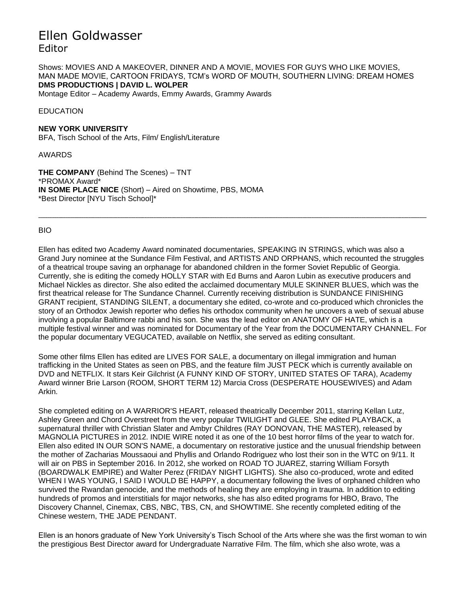Shows: MOVIES AND A MAKEOVER, DINNER AND A MOVIE, MOVIES FOR GUYS WHO LIKE MOVIES, MAN MADE MOVIE, CARTOON FRIDAYS, TCM's WORD OF MOUTH, SOUTHERN LIVING: DREAM HOMES **DMS PRODUCTIONS | DAVID L. WOLPER**

Montage Editor – Academy Awards, Emmy Awards, Grammy Awards

### EDUCATION

**NEW YORK UNIVERSITY** BFA, [Tisch School of the Arts,](https://www.linkedin.com/edu/fos?id=101134&trk=prof-edu-field_of_study) [Film/ English/Literature](https://www.linkedin.com/edu/fos?id=100593&trk=prof-edu-field_of_study)

AWARDS

**THE COMPANY** (Behind The Scenes) – TNT \*PROMAX Award\* **IN SOME PLACE NICE** (Short) – Aired on Showtime, PBS, MOMA \*Best Director [NYU Tisch School]\*

#### BIO

Ellen has edited two Academy Award nominated documentaries, SPEAKING IN STRINGS, which was also a Grand Jury nominee at the Sundance Film Festival, and ARTISTS AND ORPHANS, which recounted the struggles of a theatrical troupe saving an orphanage for abandoned children in the former Soviet Republic of Georgia. Currently, she is editing the comedy HOLLY STAR with Ed Burns and Aaron Lubin as executive producers and Michael Nickles as director. She also edited the acclaimed documentary MULE SKINNER BLUES, which was the first theatrical release for The Sundance Channel. Currently receiving distribution is SUNDANCE FINISHING GRANT recipient, STANDING SILENT, a documentary she edited, co-wrote and co-produced which chronicles the story of an Orthodox Jewish reporter who defies his orthodox community when he uncovers a web of sexual abuse involving a popular Baltimore rabbi and his son. She was the lead editor on ANATOMY OF HATE, which is a multiple festival winner and was nominated for Documentary of the Year from the DOCUMENTARY CHANNEL. For the popular documentary VEGUCATED, available on Netflix, she served as editing consultant.

**\_\_\_\_\_\_\_\_\_\_\_\_\_\_\_\_\_\_\_\_\_\_\_\_\_\_\_\_\_\_\_\_\_\_\_\_\_\_\_\_\_\_\_\_\_\_\_\_\_\_\_\_\_\_\_\_\_\_\_\_\_\_\_\_\_\_\_\_\_\_\_\_\_\_\_\_\_\_\_\_\_\_\_\_\_\_\_\_\_\_\_\_\_\_\_\_\_\_\_\_\_\_\_\_\_\_\_\_\_\_\_\_\_\_\_\_\_\_\_\_\_\_\_\_\_\_\_\_\_\_\_\_\_\_\_\_\_\_\_\_\_\_\_\_\_\_\_\_\_\_\_\_\_\_\_\_\_\_\_\_\_\_\_\_\_\_\_\_\_\_\_\_**

Some other films Ellen has edited are LIVES FOR SALE, a documentary on illegal immigration and human trafficking in the United States as seen on PBS, and the feature film JUST PECK which is currently available on DVD and NETFLIX. It stars Keir Gilchrist (A FUNNY KIND OF STORY, UNITED STATES OF TARA), Academy Award winner Brie Larson (ROOM, SHORT TERM 12) Marcia Cross (DESPERATE HOUSEWIVES) and Adam Arkin.

She completed editing on A WARRIOR'S HEART, released theatrically December 2011, starring Kellan Lutz, Ashley Green and Chord Overstreet from the very popular TWILIGHT and GLEE. She edited PLAYBACK, a supernatural thriller with Christian Slater and Ambyr Childres (RAY DONOVAN, THE MASTER), released by MAGNOLIA PICTURES in 2012. INDIE WIRE noted it as one of the 10 best horror films of the year to watch for. Ellen also edited IN OUR SON'S NAME, a documentary on restorative justice and the unusual friendship between the mother of Zacharias Moussaoui and Phyllis and Orlando Rodriguez who lost their son in the WTC on 9/11. It will air on PBS in September 2016. In 2012, she worked on ROAD TO JUAREZ, starring William Forsyth (BOARDWALK EMPIRE) and Walter Perez (FRIDAY NIGHT LIGHTS). She also co-produced, wrote and edited WHEN I WAS YOUNG, I SAID I WOULD BE HAPPY, a documentary following the lives of orphaned children who survived the Rwandan genocide, and the methods of healing they are employing in trauma. In addition to editing hundreds of promos and interstitials for major networks, she has also edited programs for HBO, Bravo, The Discovery Channel, Cinemax, CBS, NBC, TBS, CN, and SHOWTIME. She recently completed editing of the Chinese western, THE JADE PENDANT.

Ellen is an honors graduate of New York University's Tisch School of the Arts where she was the first woman to win the prestigious Best Director award for Undergraduate Narrative Film. The film, which she also wrote, was a